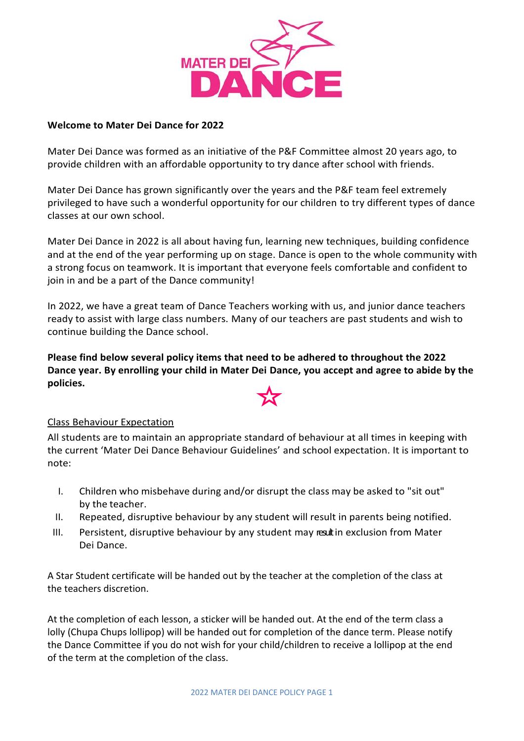

#### **Welcome to Mater Dei Dance for 2022**

Mater Dei Dance was formed as an initiative of the P&F Committee almost 20 years ago, to provide children with an affordable opportunity to try dance after school with friends.

Mater Dei Dance has grown significantly over the years and the P&F team feel extremely privileged to have such a wonderful opportunity for our children to try different types of dance classes at our own school.

Mater Dei Dance in 2022 is all about having fun, learning new techniques, building confidence and at the end of the year performing up on stage. Dance is open to the whole community with a strong focus on teamwork. It is important that everyone feels comfortable and confident to join in and be a part of the Dance community!

In 2022, we have a great team of Dance Teachers working with us, and junior dance teachers ready to assist with large class numbers. Many of our teachers are past students and wish to continue building the Dance school.

**Please find below several policy items that need to be adhered to throughout the 2022 Dance year. By enrolling your child in Mater Dei Dance, you accept and agree to abide by the policies.**



#### Class Behaviour Expectation

All students are to maintain an appropriate standard of behaviour at all times in keeping with the current 'Mater Dei Dance Behaviour Guidelines' and school expectation. It is important to note:

- I. Children who misbehave during and/or disrupt the class may be asked to "sit out" by the teacher.
- II. Repeated, disruptive behaviour by any student will result in parents being notified.
- III. Persistent, disruptive behaviour by any student may resultin exclusion from Mater Dei Dance.

A Star Student certificate will be handed out by the teacher at the completion of the class at the teachers discretion.

At the completion of each lesson, a sticker will be handed out. At the end of the term class a lolly (Chupa Chups lollipop) will be handed out for completion of the dance term. Please notify the Dance Committee if you do not wish for your child/children to receive a lollipop at the end of the term at the completion of the class.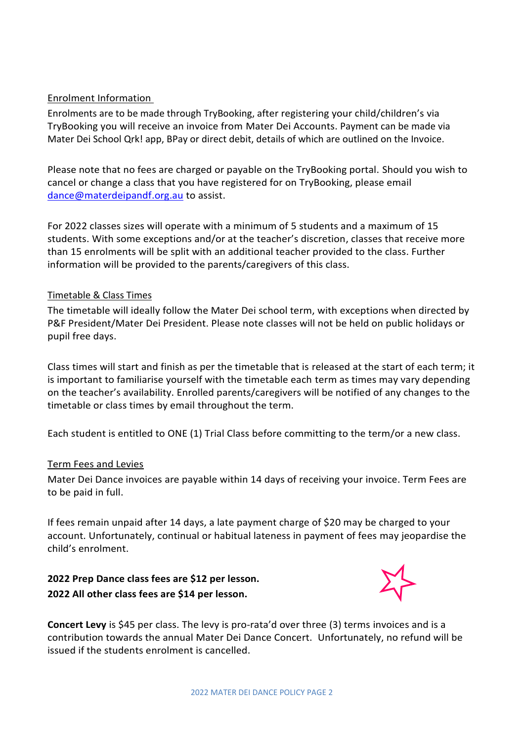## Enrolment Information

Enrolments are to be made through TryBooking, after registering your child/children's via TryBooking you will receive an invoice from Mater Dei Accounts. Payment can be made via Mater Dei School Qrk! app, BPay or direct debit, details of which are outlined on the Invoice.

Please note that no fees are charged or payable on the TryBooking portal. Should you wish to cancel or change a class that you have registered for on TryBooking, please email [dance@materdeipandf.org.au](mailto:dance@materdeipandf.org.au) to assist.

For 2022 classes sizes will operate with a minimum of 5 students and a maximum of 15 students. With some exceptions and/or at the teacher's discretion, classes that receive more than 15 enrolments will be split with an additional teacher provided to the class. Further information will be provided to the parents/caregivers of this class.

#### Timetable & Class Times

The timetable will ideally follow the Mater Dei school term, with exceptions when directed by P&F President/Mater Dei President. Please note classes will not be held on public holidays or pupil free days.

Class times will start and finish as per the timetable that is released at the start of each term; it is important to familiarise yourself with the timetable each term as times may vary depending on the teacher's availability. Enrolled parents/caregivers will be notified of any changes to the timetable or class times by email throughout the term.

Each student is entitled to ONE (1) Trial Class before committing to the term/or a new class.

#### Term Fees and Levies

Mater Dei Dance invoices are payable within 14 days of receiving your invoice. Term Fees are to be paid in full.

If fees remain unpaid after 14 days, a late payment charge of \$20 may be charged to your account. Unfortunately, continual or habitual lateness in payment of fees may jeopardise the child's enrolment.

# **2022 Prep Dance class fees are \$12 per lesson. 2022 All other class fees are \$14 per lesson.**



**Concert Levy** is \$45 per class. The levy is pro-rata'd over three (3) terms invoices and is a contribution towards the annual Mater Dei Dance Concert. Unfortunately, no refund will be issued if the students enrolment is cancelled.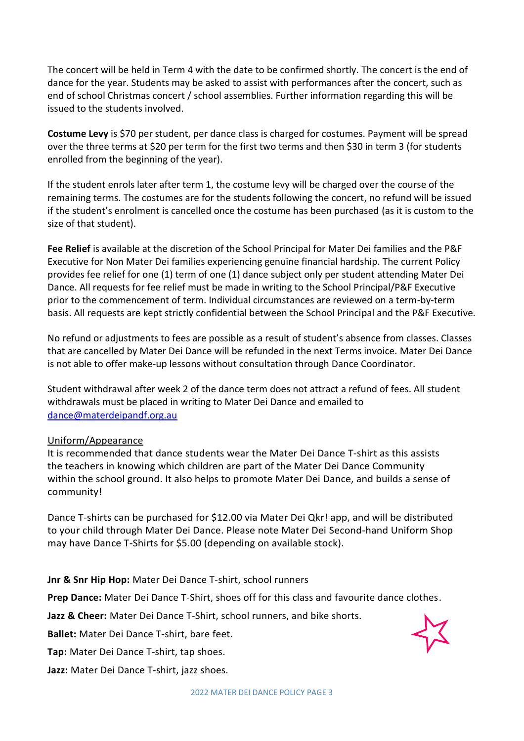The concert will be held in Term 4 with the date to be confirmed shortly. The concert is the end of dance for the year. Students may be asked to assist with performances after the concert, such as end of school Christmas concert / school assemblies. Further information regarding this will be issued to the students involved.

**Costume Levy** is \$70 per student, per dance class is charged for costumes. Payment will be spread over the three terms at \$20 per term for the first two terms and then \$30 in term 3 (for students enrolled from the beginning of the year).

If the student enrols later after term 1, the costume levy will be charged over the course of the remaining terms. The costumes are for the students following the concert, no refund will be issued if the student's enrolment is cancelled once the costume has been purchased (as it is custom to the size of that student).

**Fee Relief** is available at the discretion of the School Principal for Mater Dei families and the P&F Executive for Non Mater Dei families experiencing genuine financial hardship. The current Policy provides fee relief for one (1) term of one (1) dance subject only per student attending Mater Dei Dance. All requests for fee relief must be made in writing to the School Principal/P&F Executive prior to the commencement of term. Individual circumstances are reviewed on a term-by-term basis. All requests are kept strictly confidential between the School Principal and the P&F Executive.

No refund or adjustments to fees are possible as a result of student's absence from classes. Classes that are cancelled by Mater Dei Dance will be refunded in the next Terms invoice. Mater Dei Dance is not able to offer make-up lessons without consultation through Dance Coordinator.

Student withdrawal after week 2 of the dance term does not attract a refund of fees. All student withdrawals must be placed in writing to Mater Dei Dance and emailed to [dance@materdeipandf.org.au](mailto:dance@materdeipandf.org.au)

#### Uniform/Appearance

It is recommended that dance students wear the Mater Dei Dance T-shirt as this assists the teachers in knowing which children are part of the Mater Dei Dance Community within the school ground. It also helps to promote Mater Dei Dance, and builds a sense of community!

Dance T-shirts can be purchased for \$12.00 via Mater Dei Qkr! app, and will be distributed to your child through Mater Dei Dance. Please note Mater Dei Second-hand Uniform Shop may have Dance T-Shirts for \$5.00 (depending on available stock).

**Jnr & Snr Hip Hop:** Mater Dei Dance T-shirt, school runners

**Prep Dance:** Mater Dei Dance T-Shirt, shoes off for this class and favourite dance clothes.

**Jazz & Cheer:** Mater Dei Dance T-Shirt, school runners, and bike shorts.

**Ballet:** Mater Dei Dance T-shirt, bare feet.

**Tap:** Mater Dei Dance T-shirt, tap shoes.

**Jazz:** Mater Dei Dance T-shirt, jazz shoes.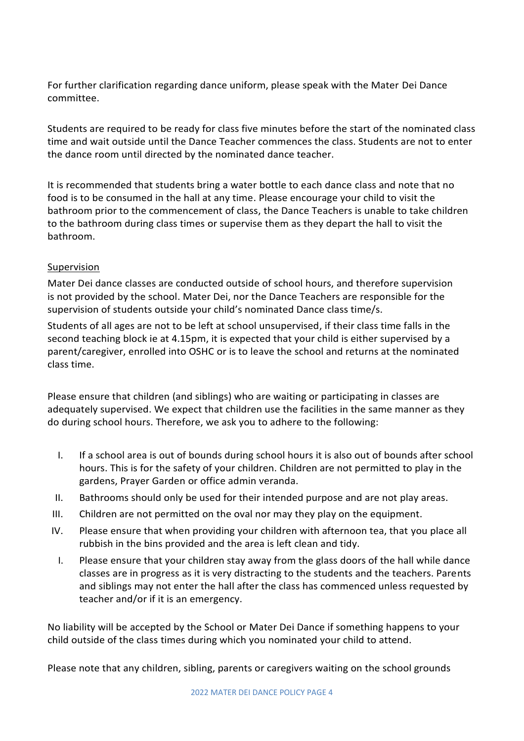For further clarification regarding dance uniform, please speak with the Mater Dei Dance committee.

Students are required to be ready for class five minutes before the start of the nominated class time and wait outside until the Dance Teacher commences the class. Students are not to enter the dance room until directed by the nominated dance teacher.

It is recommended that students bring a water bottle to each dance class and note that no food is to be consumed in the hall at any time. Please encourage your child to visit the bathroom prior to the commencement of class, the Dance Teachers is unable to take children to the bathroom during class times or supervise them as they depart the hall to visit the bathroom.

#### Supervision

Mater Dei dance classes are conducted outside of school hours, and therefore supervision is not provided by the school. Mater Dei, nor the Dance Teachers are responsible for the supervision of students outside your child's nominated Dance class time/s.

Students of all ages are not to be left at school unsupervised, if their class time falls in the second teaching block ie at 4.15pm, it is expected that your child is either supervised by a parent/caregiver, enrolled into OSHC or is to leave the school and returns at the nominated class time.

Please ensure that children (and siblings) who are waiting or participating in classes are adequately supervised. We expect that children use the facilities in the same manner as they do during school hours. Therefore, we ask you to adhere to the following:

- I. If a school area is out of bounds during school hours it is also out of bounds after school hours. This is for the safety of your children. Children are not permitted to play in the gardens, Prayer Garden or office admin veranda.
- II. Bathrooms should only be used for their intended purpose and are not play areas.
- III. Children are not permitted on the oval nor may they play on the equipment.
- IV. Please ensure that when providing your children with afternoon tea, that you place all rubbish in the bins provided and the area is left clean and tidy.
	- I. Please ensure that your children stay away from the glass doors of the hall while dance classes are in progress as it is very distracting to the students and the teachers. Parents and siblings may not enter the hall after the class has commenced unless requested by teacher and/or if it is an emergency.

No liability will be accepted by the School or Mater Dei Dance if something happens to your child outside of the class times during which you nominated your child to attend.

Please note that any children, sibling, parents or caregivers waiting on the school grounds